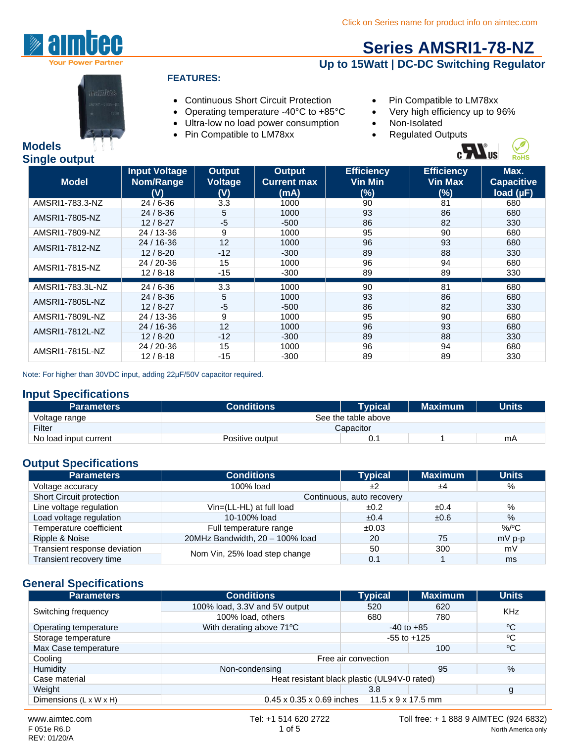

**Models**

**Single output**

# **[Series AMSRI1-78-NZ](http://www.aimtec.com/amsri1-78-nz)**

### **Up to 15Watt | DC-DC Switching Regulator**



#### **FEATURES:**

- Continuous Short Circuit Protection Pin Compatible to LM78xx
- Operating temperature -40°C to +85°C Very high efficiency up to 96%
- Ultra-low no load power consumption Non-Isolated
- Pin Compatible to LM78xx Regulated Outputs
- 
- 
- -



| ີ<br><b>Model</b> | <b>Input Voltage</b><br>Nom/Range<br>(V) | <b>Output</b><br><b>Voltage</b><br>(V) | Output<br><b>Current max</b><br>(mA) | <b>Efficiency</b><br><b>Vin Min</b><br>(%) | <b>Efficiency</b><br><b>Vin Max</b><br>(%) | Max.<br><b>Capacitive</b><br>load (µF) |
|-------------------|------------------------------------------|----------------------------------------|--------------------------------------|--------------------------------------------|--------------------------------------------|----------------------------------------|
| AMSRI1-783.3-NZ   | $24/6 - 36$                              | 3.3                                    | 1000                                 | 90                                         | 81                                         | 680                                    |
| AMSRI1-7805-NZ    | $24/8 - 36$                              | 5                                      | 1000                                 | 93                                         | 86                                         | 680                                    |
|                   | $12/8 - 27$                              | $-5$                                   | $-500$                               | 86                                         | 82                                         | 330                                    |
| AMSRI1-7809-NZ    | 24 / 13-36                               | 9                                      | 1000                                 | 95                                         | 90                                         | 680                                    |
| AMSRI1-7812-NZ    | 24 / 16-36                               | 12                                     | 1000                                 | 96                                         | 93                                         | 680                                    |
|                   | $12/8 - 20$                              | $-12$                                  | $-300$                               | 89                                         | 88                                         | 330                                    |
| AMSRI1-7815-NZ    | 24 / 20-36                               | 15                                     | 1000                                 | 96                                         | 94                                         | 680                                    |
|                   | $12/8 - 18$                              | $-15$                                  | $-300$                               | 89                                         | 89                                         | 330                                    |
| AMSRI1-783.3L-NZ  | $24/6 - 36$                              | 3.3                                    | 1000                                 | 90                                         | 81                                         | 680                                    |
| AMSRI1-7805L-NZ   | $24/8-36$                                | 5                                      | 1000                                 | 93                                         | 86                                         | 680                                    |
|                   | $12/8 - 27$                              | $-5$                                   | $-500$                               | 86                                         | 82                                         | 330                                    |
| AMSRI1-7809L-NZ   | 24 / 13-36                               | 9                                      | 1000                                 | 95                                         | 90                                         | 680                                    |
| AMSRI1-7812L-NZ   | 24 / 16-36                               | 12                                     | 1000                                 | 96                                         | 93                                         | 680                                    |
|                   | $12/8 - 20$                              | $-12$                                  | $-300$                               | 89                                         | 88                                         | 330                                    |
|                   | 24 / 20-36                               | 15                                     | 1000                                 | 96                                         | 94                                         | 680                                    |
| AMSRI1-7815L-NZ   | $12/8 - 18$                              | $-15$                                  | $-300$                               | 89                                         | 89                                         | 330                                    |

Note: For higher than 30VDC input, adding 22µF/50V capacitor required.

#### **Input Specifications**

| <b>Parameters</b>     | <b>Conditions</b>   | <b>Tvpical</b> | <b>Maximum</b> | <b>Units</b> |
|-----------------------|---------------------|----------------|----------------|--------------|
| Voltage range         | See the table above |                |                |              |
| Filter                | Capacitor           |                |                |              |
| No load input current | Positive output     | ٥.             |                | mA           |

#### **Output Specifications**

| <b>Parameters</b>            | <b>Conditions</b>               | <b>Typical</b> | <b>Maximum</b> | <b>Units</b> |  |
|------------------------------|---------------------------------|----------------|----------------|--------------|--|
| Voltage accuracy             | 100% load                       | ±2             | ±4             | %            |  |
| Short Circuit protection     | Continuous, auto recovery       |                |                |              |  |
| Line voltage regulation      | Vin=(LL-HL) at full load        | ±0.2           | ±0.4           | %            |  |
| Load voltage regulation      | 10-100% load                    | ±0.4           | ±0.6           | $\%$         |  |
| Temperature coefficient      | Full temperature range          | ±0.03          |                | %/°C         |  |
| Ripple & Noise               | 20MHz Bandwidth, 20 - 100% load | 20             | 75             | $mV$ p-p     |  |
| Transient response deviation | Nom Vin, 25% load step change   | 50             | 300            | mV           |  |
| Transient recovery time      |                                 | 0.1            |                | ms           |  |

#### **General Specifications**

| <b>Parameters</b>      | <b>Conditions</b>                                        | <b>Typical</b> | <b>Maximum</b>  | <b>Units</b>    |
|------------------------|----------------------------------------------------------|----------------|-----------------|-----------------|
|                        | 100% load, 3.3V and 5V output                            | 520            | 620             | <b>KHz</b>      |
| Switching frequency    | 100% load, others                                        | 680            | 780             |                 |
| Operating temperature  | With derating above 71°C                                 | $-40$ to $+85$ |                 | $\rm ^{o}C$     |
| Storage temperature    |                                                          |                | $-55$ to $+125$ | $\rm ^{\circ}C$ |
| Max Case temperature   |                                                          |                | 100             | $\rm ^{o}C$     |
| Cooling                | Free air convection                                      |                |                 |                 |
| Humidity               | Non-condensing                                           |                | 95              | %               |
| Case material          | Heat resistant black plastic (UL94V-0 rated)             |                |                 |                 |
| Weight                 |                                                          | 3.8            |                 | g               |
| Dimensions (L x W x H) | $0.45 \times 0.35 \times 0.69$ inches 11.5 x 9 x 17.5 mm |                |                 |                 |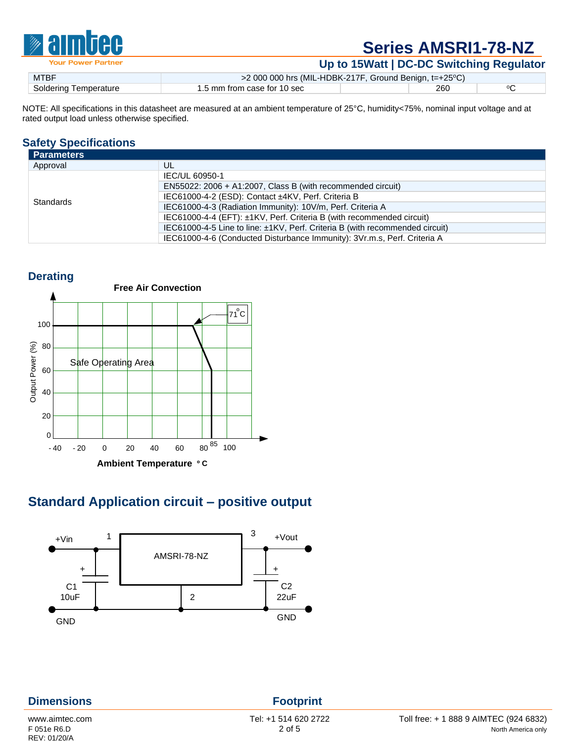

**Up to 15Watt | DC-DC Switching Regulator**

| <b>MTBF</b>           | >2 000 000 hrs (MIL-HDBK-217F, Ground Benign, t=+25°C) |     |  |
|-----------------------|--------------------------------------------------------|-----|--|
| Soldering Temperature | 1.5 mm from case for 10 sec                            | 260 |  |
|                       |                                                        |     |  |

NOTE: All specifications in this datasheet are measured at an ambient temperature of 25°C, humidity<75%, nominal input voltage and at rated output load unless otherwise specified.

#### **Safety Specifications**

| <b>Parameters</b> |                                                                              |  |
|-------------------|------------------------------------------------------------------------------|--|
| Approval          | UL                                                                           |  |
|                   | IEC/UL 60950-1                                                               |  |
|                   | EN55022: 2006 + A1:2007, Class B (with recommended circuit)                  |  |
| <b>Standards</b>  | IEC61000-4-2 (ESD): Contact ±4KV, Perf. Criteria B                           |  |
|                   | IEC61000-4-3 (Radiation Immunity): 10V/m, Perf. Criteria A                   |  |
|                   | IEC61000-4-4 (EFT): ±1KV, Perf. Criteria B (with recommended circuit)        |  |
|                   | IEC61000-4-5 Line to line: ±1KV, Perf. Criteria B (with recommended circuit) |  |
|                   | IEC61000-4-6 (Conducted Disturbance Immunity): 3Vr.m.s, Perf. Criteria A     |  |



## **Standard Application circuit – positive output**



| <b>Dimensions</b>           | <b>Footprint</b>     |                                        |
|-----------------------------|----------------------|----------------------------------------|
| www.aimtec.com              | Tel: +1 514 620 2722 | Toll free: + 1 888 9 AIMTEC (924 6832) |
| F 051e R6.D<br>REV: 01/20/A | $2$ of 5             | North America only                     |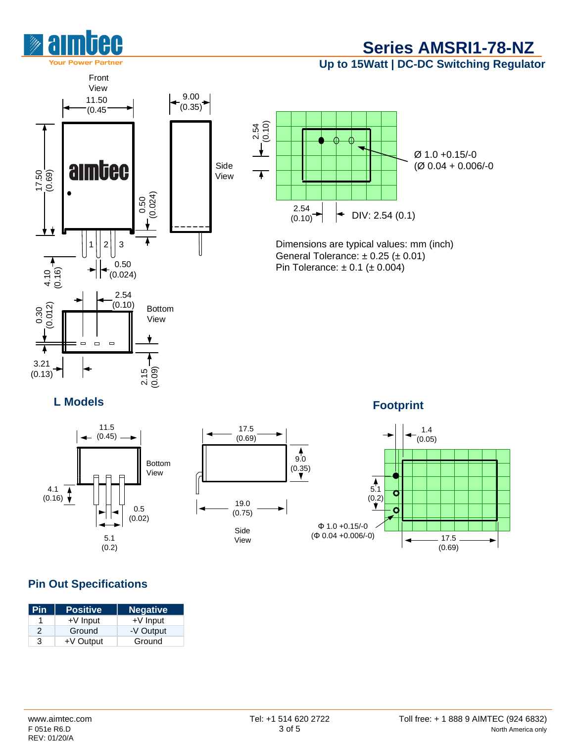

**Up to 15Watt | DC-DC Switching Regulator**





Dimensions are typical values: mm (inch) General Tolerance:  $\pm$  0.25 ( $\pm$  0.01) Pin Tolerance:  $\pm 0.1$  ( $\pm 0.004$ )

**L Models**





**Footprint**



#### **Pin Out Specifications**

| Pin | <b>Positive</b> | <b>Negative</b> |
|-----|-----------------|-----------------|
|     | $+V$ Input      | $+V$ Input      |
| 2   | Ground          | -V Output       |
| 3   | +V Output       | Ground          |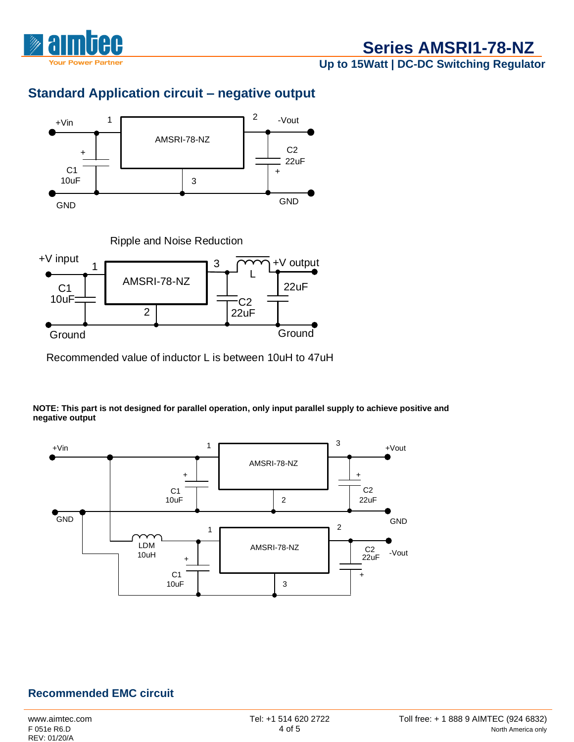

**Up to 15Watt | DC-DC Switching Regulator**

## **Standard Application circuit – negative output**





Recommended value of inductor L is between 10uH to 47uH

**NOTE: This part is not designed for parallel operation, only input parallel supply to achieve positive and negative output** 



#### **Recommended EMC circuit**